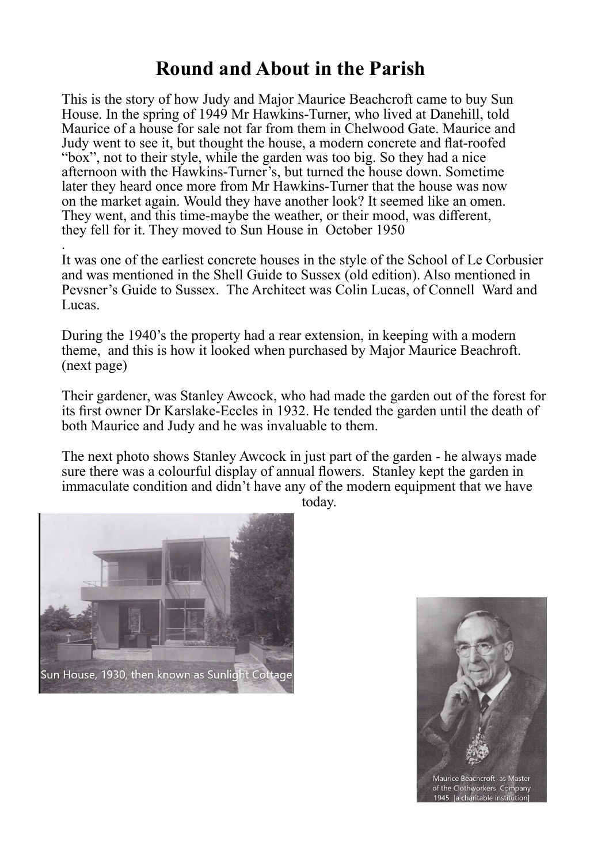## **Round and About in the Parish**

This is the story of how Judy and Major Maurice Beachcroft came to buy Sun House. In the spring of 1949 Mr Hawkins-Turner, who lived at Danehill, told Maurice of a house for sale not far from them in Chelwood Gate. Maurice and Judy went to see it, but thought the house, a modern concrete and flat-roofed "box", not to their style, while the garden was too big. So they had a nice afternoon with the Hawkins-Turner's, but turned the house down. Sometime later they heard once more from Mr Hawkins-Turner that the house was now on the market again. Would they have another look? It seemed like an omen. They went, and this time-maybe the weather, or their mood, was different, they fell for it. They moved to Sun House in October 1950

. It was one of the earliest concrete houses in the style of the School of Le Corbusier and was mentioned in the Shell Guide to Sussex (old edition). Also mentioned in Pevsner's Guide to Sussex. The Architect was Colin Lucas, of Connell Ward and Lucas.

During the 1940's the property had a rear extension, in keeping with a modern theme, and this is how it looked when purchased by Major Maurice Beachroft. (next page)

Their gardener, was Stanley Awcock, who had made the garden out of the forest for its first owner Dr Karslake-Eccles in 1932. He tended the garden until the death of both Maurice and Judy and he was invaluable to them.

The next photo shows Stanley Awcock in just part of the garden - he always made sure there was a colourful display of annual flowers. Stanley kept the garden in immaculate condition and didn't have any of the modern equipment that we have



Maurice Beachcroft as Master of the Clothworkers Company<br>1945 Ta charitable institution

today.